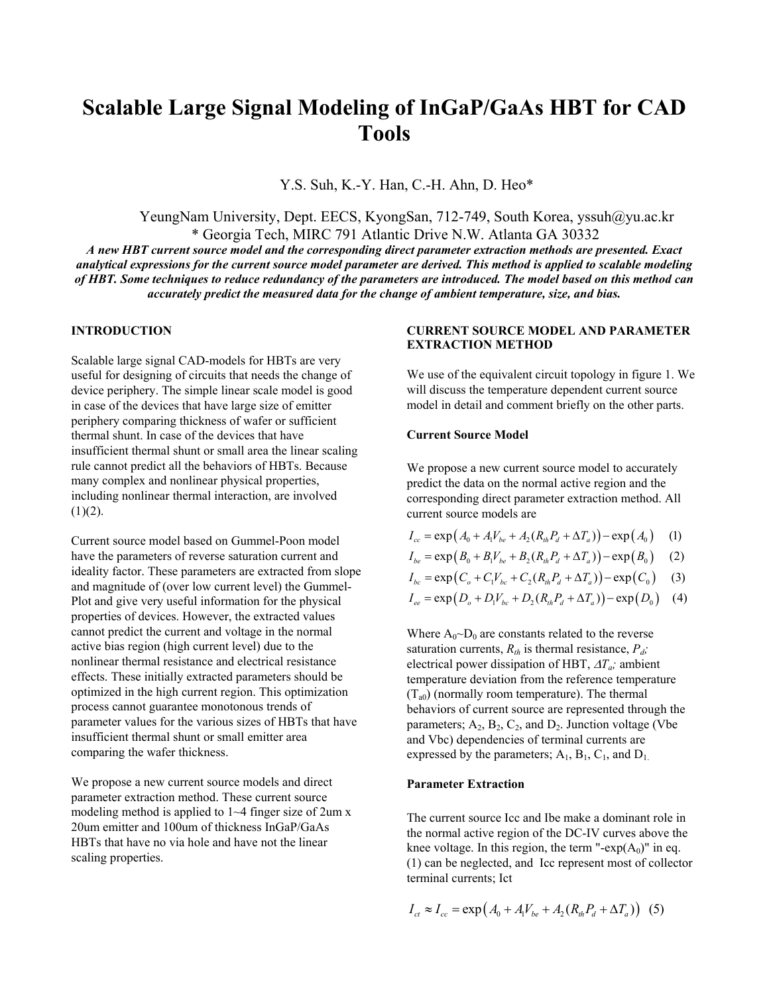# **Scalable Large Signal Modeling of InGaP/GaAs HBT for CAD Tools**

Y.S. Suh, K.-Y. Han, C.-H. Ahn, D. Heo\*

YeungNam University, Dept. EECS, KyongSan, 712-749, South Korea, yssuh@yu.ac.kr \* Georgia Tech, MIRC 791 Atlantic Drive N.W. Atlanta GA 30332

*A new HBT current source model and the corresponding direct parameter extraction methods are presented. Exact analytical expressions for the current source model parameter are derived. This method is applied to scalable modeling of HBT. Some techniques to reduce redundancy of the parameters are introduced. The model based on this method can accurately predict the measured data for the change of ambient temperature, size, and bias.* 

# **INTRODUCTION**

Scalable large signal CAD-models for HBTs are very useful for designing of circuits that needs the change of device periphery. The simple linear scale model is good in case of the devices that have large size of emitter periphery comparing thickness of wafer or sufficient thermal shunt. In case of the devices that have insufficient thermal shunt or small area the linear scaling rule cannot predict all the behaviors of HBTs. Because many complex and nonlinear physical properties, including nonlinear thermal interaction, are involved  $(1)(2)$ .

Current source model based on Gummel-Poon model have the parameters of reverse saturation current and ideality factor. These parameters are extracted from slope and magnitude of (over low current level) the Gummel-Plot and give very useful information for the physical properties of devices. However, the extracted values cannot predict the current and voltage in the normal active bias region (high current level) due to the nonlinear thermal resistance and electrical resistance effects. These initially extracted parameters should be optimized in the high current region. This optimization process cannot guarantee monotonous trends of parameter values for the various sizes of HBTs that have insufficient thermal shunt or small emitter area comparing the wafer thickness.

We propose a new current source models and direct parameter extraction method. These current source modeling method is applied to 1~4 finger size of 2um x 20um emitter and 100um of thickness InGaP/GaAs HBTs that have no via hole and have not the linear scaling properties.

## **CURRENT SOURCE MODEL AND PARAMETER EXTRACTION METHOD**

We use of the equivalent circuit topology in figure 1. We will discuss the temperature dependent current source model in detail and comment briefly on the other parts.

## **Current Source Model**

We propose a new current source model to accurately predict the data on the normal active region and the corresponding direct parameter extraction method. All current source models are

- $I_{cc} = \exp (A_0 + A_1 V_{be} + A_2 (R_{th} P_d + \Delta T_a)) \exp (A_0)$  (1)
- $I_{be} = \exp(B_0 + B_1 V_{be} + B_2 (R_{th} P_d + \Delta T_a)) \exp(B_0)$  (2)
- $I_{bc} = \exp\left(C_o + C_1 V_{bc} + C_2 (R_{th} P_a + \Delta T_a)\right) \exp(C_0)$  (3)

$$
I_{ee} = \exp(D_o + D_1 V_{bc} + D_2 (R_{th} P_d + \Delta T_a)) - \exp(D_0)
$$
 (4)

Where  $A_0 \sim D_0$  are constants related to the reverse saturation currents,  $R_{th}$  is thermal resistance,  $P_d$ ; electrical power dissipation of HBT, ∆*Ta;* ambient temperature deviation from the reference temperature  $(T_{a0})$  (normally room temperature). The thermal behaviors of current source are represented through the parameters;  $A_2$ ,  $B_2$ ,  $C_2$ , and  $D_2$ . Junction voltage (Vbe and Vbc) dependencies of terminal currents are expressed by the parameters;  $A_1$ ,  $B_1$ ,  $C_1$ , and  $D_1$ .

#### **Parameter Extraction**

The current source Icc and Ibe make a dominant role in the normal active region of the DC-IV curves above the knee voltage. In this region, the term "- $exp(A_0)$ " in eq. (1) can be neglected, and Icc represent most of collector terminal currents; Ict

$$
I_{ct} \approx I_{cc} = \exp(A_0 + A_1 V_{be} + A_2 (R_{th} P_d + \Delta T_a))
$$
 (5)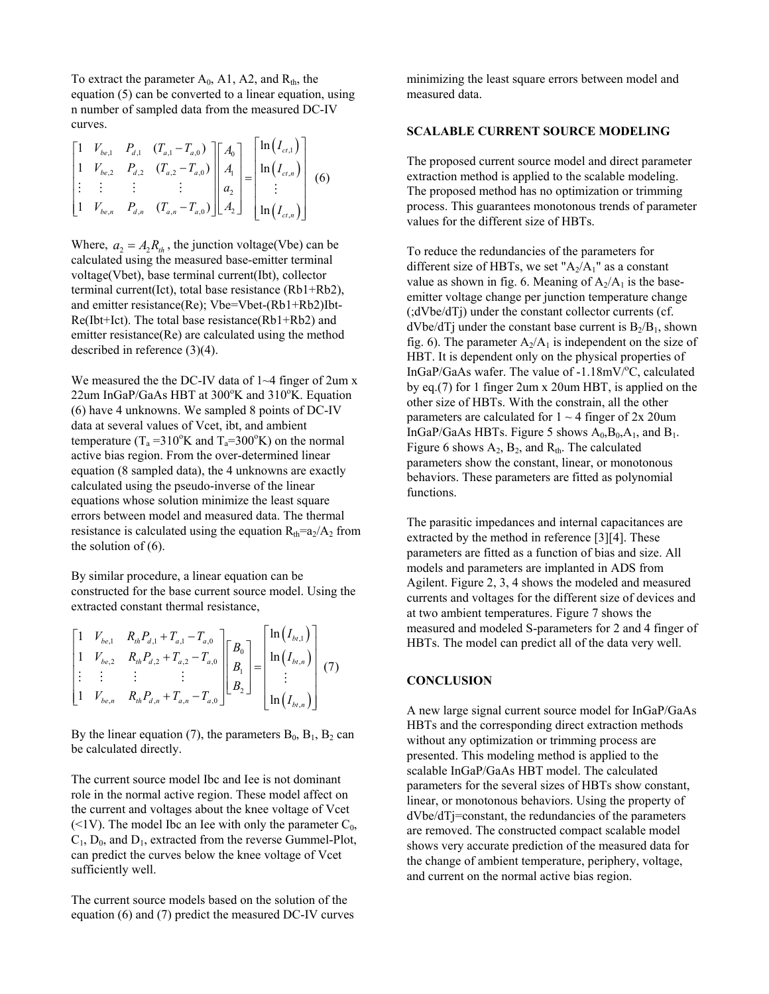To extract the parameter  $A_0$ , A1, A2, and  $R_{th}$ , the equation (5) can be converted to a linear equation, using n number of sampled data from the measured DC-IV curves.

$$
\begin{bmatrix} 1 & V_{be,1} & P_{d,1} & (T_{a,1} - T_{a,0}) \\ 1 & V_{be,2} & P_{d,2} & (T_{a,2} - T_{a,0}) \\ \vdots & \vdots & \vdots & \vdots \\ 1 & V_{be,n} & P_{d,n} & (T_{a,n} - T_{a,0}) \end{bmatrix} \begin{bmatrix} A_0 \\ A_1 \\ a_2 \\ A_2 \end{bmatrix} = \begin{bmatrix} \ln(I_{ct,1}) \\ \ln(I_{ct,n}) \\ \vdots \\ \ln(I_{ct,n}) \end{bmatrix}
$$
 (6)

Where,  $a_2 = A_2 R_{th}$ , the junction voltage(Vbe) can be calculated using the measured base-emitter terminal voltage(Vbet), base terminal current(Ibt), collector terminal current(Ict), total base resistance (Rb1+Rb2), and emitter resistance(Re); Vbe=Vbet-(Rb1+Rb2)Ibt-Re(Ibt+Ict). The total base resistance(Rb1+Rb2) and emitter resistance(Re) are calculated using the method described in reference (3)(4).

We measured the the DC-IV data of  $1~-4$  finger of 2um x  $22$ um InGaP/GaAs HBT at  $300^{\circ}$ K and  $310^{\circ}$ K. Equation (6) have 4 unknowns. We sampled 8 points of DC-IV data at several values of Vcet, ibt, and ambient temperature ( $T_a = 310^\circ K$  and  $T_a = 300^\circ K$ ) on the normal active bias region. From the over-determined linear equation (8 sampled data), the 4 unknowns are exactly calculated using the pseudo-inverse of the linear equations whose solution minimize the least square errors between model and measured data. The thermal resistance is calculated using the equation  $R_{th} = a_2/A_2$  from the solution of (6).

By similar procedure, a linear equation can be constructed for the base current source model. Using the extracted constant thermal resistance,

$$
\begin{bmatrix} 1 & V_{be,1} & R_{th}P_{d,1} + T_{a,1} - T_{a,0} \\ 1 & V_{be,2} & R_{th}P_{d,2} + T_{a,2} - T_{a,0} \\ \vdots & \vdots & \vdots & \vdots \\ 1 & V_{be,n} & R_{th}P_{d,n} + T_{a,n} - T_{a,0} \end{bmatrix} \begin{bmatrix} B_0 \\ B_1 \\ B_2 \end{bmatrix} = \begin{bmatrix} \ln(I_{bt,1}) \\ \ln(I_{bt,n}) \\ \vdots \\ \ln(I_{bt,n}) \end{bmatrix} (7)
$$

By the linear equation (7), the parameters  $B_0$ ,  $B_1$ ,  $B_2$  can be calculated directly.

The current source model Ibc and Iee is not dominant role in the normal active region. These model affect on the current and voltages about the knee voltage of Vcet ( $\leq$ 1V). The model Ibc an Iee with only the parameter  $C_0$ ,  $C_1$ ,  $D_0$ , and  $D_1$ , extracted from the reverse Gummel-Plot, can predict the curves below the knee voltage of Vcet sufficiently well.

The current source models based on the solution of the equation (6) and (7) predict the measured DC-IV curves

minimizing the least square errors between model and measured data.

# **SCALABLE CURRENT SOURCE MODELING**

The proposed current source model and direct parameter extraction method is applied to the scalable modeling. The proposed method has no optimization or trimming process. This guarantees monotonous trends of parameter values for the different size of HBTs.

To reduce the redundancies of the parameters for different size of HBTs, we set " $A_2/A_1$ " as a constant value as shown in fig. 6. Meaning of  $A_2/A_1$  is the baseemitter voltage change per junction temperature change (;dVbe/dTj) under the constant collector currents (cf.  $dVbe/dTj$  under the constant base current is  $B_2/B_1$ , shown fig. 6). The parameter  $A_2/A_1$  is independent on the size of HBT. It is dependent only on the physical properties of InGaP/GaAs wafer. The value of -1.18mV/°C, calculated by eq.(7) for 1 finger 2um x 20um HBT, is applied on the other size of HBTs. With the constrain, all the other parameters are calculated for  $1 \sim 4$  finger of  $2x$  20um InGaP/GaAs HBTs. Figure 5 shows  $A_0$ ,  $B_0$ ,  $A_1$ , and  $B_1$ . Figure 6 shows  $A_2$ ,  $B_2$ , and  $R_{th}$ . The calculated parameters show the constant, linear, or monotonous behaviors. These parameters are fitted as polynomial functions.

The parasitic impedances and internal capacitances are extracted by the method in reference [3][4]. These parameters are fitted as a function of bias and size. All models and parameters are implanted in ADS from Agilent. Figure 2, 3, 4 shows the modeled and measured currents and voltages for the different size of devices and at two ambient temperatures. Figure 7 shows the measured and modeled S-parameters for 2 and 4 finger of HBTs. The model can predict all of the data very well.

## **CONCLUSION**

A new large signal current source model for InGaP/GaAs HBTs and the corresponding direct extraction methods without any optimization or trimming process are presented. This modeling method is applied to the scalable InGaP/GaAs HBT model. The calculated parameters for the several sizes of HBTs show constant, linear, or monotonous behaviors. Using the property of dVbe/dTj=constant, the redundancies of the parameters are removed. The constructed compact scalable model shows very accurate prediction of the measured data for the change of ambient temperature, periphery, voltage, and current on the normal active bias region.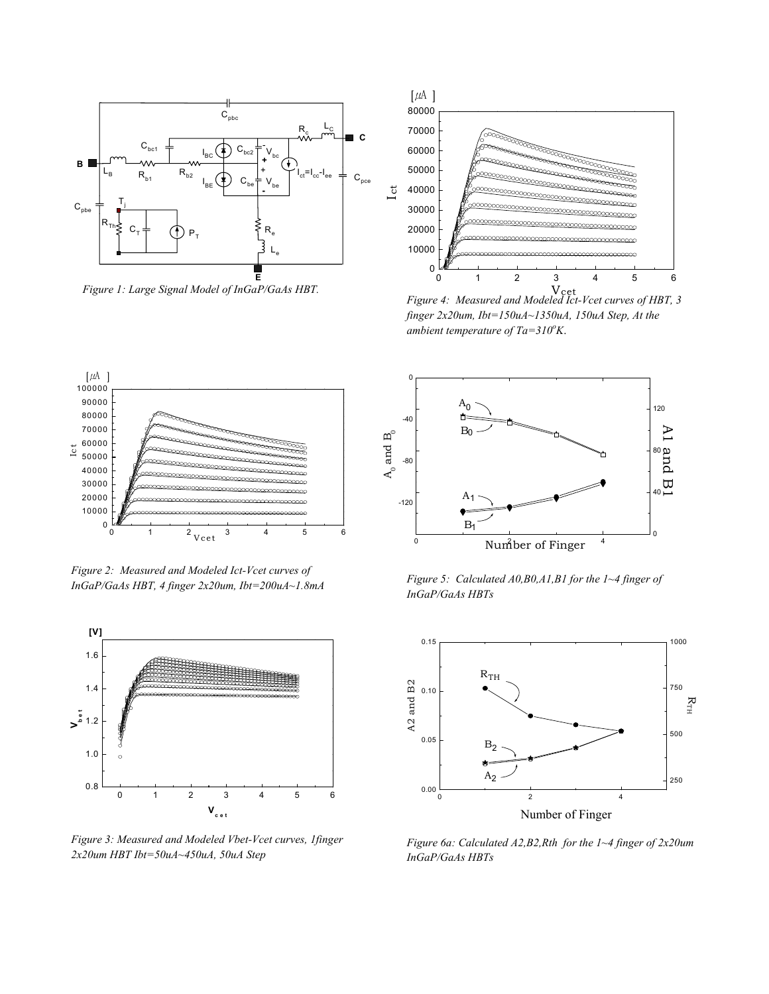

 *Figure 1: Large Signal Model of InGaP/GaAs HBT.*



cet V *Figure 4: Measured and Modeled Ict-Vcet curves of HBT, 3 finger 2x20um, Ibt=150uA~1350uA, 150uA Step, At the*  ambient temperature of Ta=310<sup>o</sup>K.



*Figure 2: Measured and Modeled Ict-Vcet curves of InGaP/GaAs HBT, 4 finger 2x20um, Ibt=200uA~1.8mA* 



*Figure 3: Measured and Modeled Vbet-Vcet curves, 1finger 2x20um HBT Ibt=50uA~450uA, 50uA Step* 



*Figure 5: Calculated A0,B0,A1,B1 for the 1~4 finger of InGaP/GaAs HBTs* 



*Figure 6a: Calculated A2,B2,Rth for the 1~4 finger of 2x20um InGaP/GaAs HBTs*